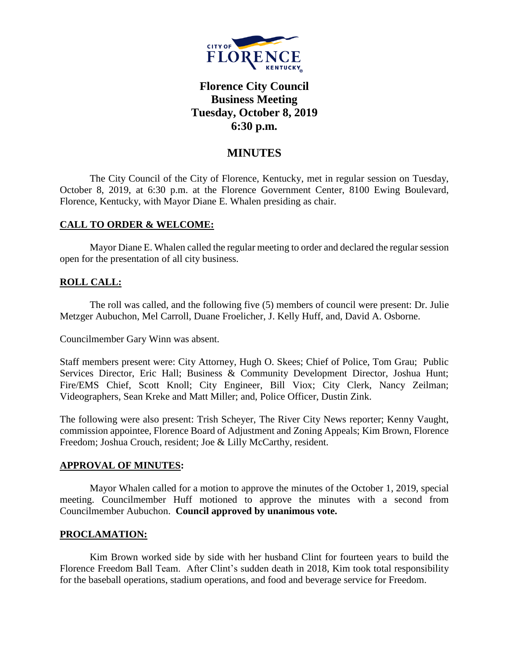

# **Florence City Council Business Meeting Tuesday, October 8, 2019 6:30 p.m.**

## **MINUTES**

The City Council of the City of Florence, Kentucky, met in regular session on Tuesday, October 8, 2019, at 6:30 p.m. at the Florence Government Center, 8100 Ewing Boulevard, Florence, Kentucky, with Mayor Diane E. Whalen presiding as chair.

## **CALL TO ORDER & WELCOME:**

Mayor Diane E. Whalen called the regular meeting to order and declared the regular session open for the presentation of all city business.

## **ROLL CALL:**

The roll was called, and the following five (5) members of council were present: Dr. Julie Metzger Aubuchon, Mel Carroll, Duane Froelicher, J. Kelly Huff, and, David A. Osborne.

Councilmember Gary Winn was absent.

Staff members present were: City Attorney, Hugh O. Skees; Chief of Police, Tom Grau; Public Services Director, Eric Hall; Business & Community Development Director, Joshua Hunt; Fire/EMS Chief, Scott Knoll; City Engineer, Bill Viox; City Clerk, Nancy Zeilman; Videographers, Sean Kreke and Matt Miller; and, Police Officer, Dustin Zink.

The following were also present: Trish Scheyer, The River City News reporter; Kenny Vaught, commission appointee, Florence Board of Adjustment and Zoning Appeals; Kim Brown, Florence Freedom; Joshua Crouch, resident; Joe & Lilly McCarthy, resident.

#### **APPROVAL OF MINUTES:**

Mayor Whalen called for a motion to approve the minutes of the October 1, 2019, special meeting. Councilmember Huff motioned to approve the minutes with a second from Councilmember Aubuchon. **Council approved by unanimous vote.**

#### **PROCLAMATION:**

Kim Brown worked side by side with her husband Clint for fourteen years to build the Florence Freedom Ball Team. After Clint's sudden death in 2018, Kim took total responsibility for the baseball operations, stadium operations, and food and beverage service for Freedom.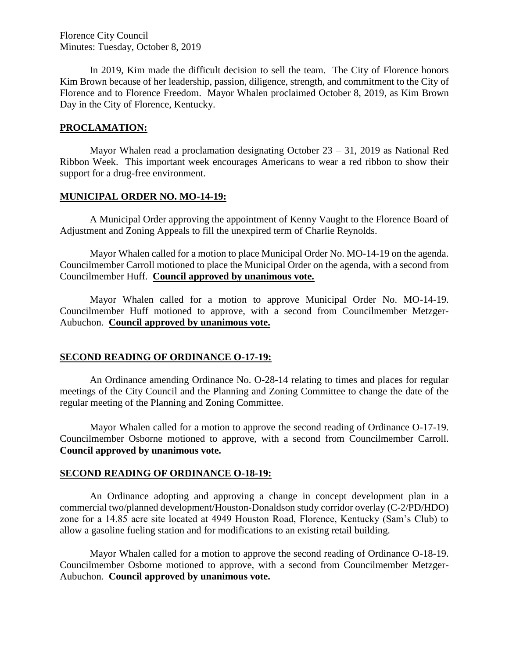Florence City Council Minutes: Tuesday, October 8, 2019

In 2019, Kim made the difficult decision to sell the team. The City of Florence honors Kim Brown because of her leadership, passion, diligence, strength, and commitment to the City of Florence and to Florence Freedom. Mayor Whalen proclaimed October 8, 2019, as Kim Brown Day in the City of Florence, Kentucky.

#### **PROCLAMATION:**

Mayor Whalen read a proclamation designating October 23 – 31, 2019 as National Red Ribbon Week. This important week encourages Americans to wear a red ribbon to show their support for a drug-free environment.

#### **MUNICIPAL ORDER NO. MO-14-19:**

A Municipal Order approving the appointment of Kenny Vaught to the Florence Board of Adjustment and Zoning Appeals to fill the unexpired term of Charlie Reynolds.

Mayor Whalen called for a motion to place Municipal Order No. MO-14-19 on the agenda. Councilmember Carroll motioned to place the Municipal Order on the agenda, with a second from Councilmember Huff. **Council approved by unanimous vote.**

Mayor Whalen called for a motion to approve Municipal Order No. MO-14-19. Councilmember Huff motioned to approve, with a second from Councilmember Metzger-Aubuchon. **Council approved by unanimous vote.**

#### **SECOND READING OF ORDINANCE O-17-19:**

An Ordinance amending Ordinance No. O-28-14 relating to times and places for regular meetings of the City Council and the Planning and Zoning Committee to change the date of the regular meeting of the Planning and Zoning Committee.

Mayor Whalen called for a motion to approve the second reading of Ordinance O-17-19. Councilmember Osborne motioned to approve, with a second from Councilmember Carroll. **Council approved by unanimous vote.**

#### **SECOND READING OF ORDINANCE O-18-19:**

An Ordinance adopting and approving a change in concept development plan in a commercial two/planned development/Houston-Donaldson study corridor overlay (C-2/PD/HDO) zone for a 14.85 acre site located at 4949 Houston Road, Florence, Kentucky (Sam's Club) to allow a gasoline fueling station and for modifications to an existing retail building.

Mayor Whalen called for a motion to approve the second reading of Ordinance O-18-19. Councilmember Osborne motioned to approve, with a second from Councilmember Metzger-Aubuchon. **Council approved by unanimous vote.**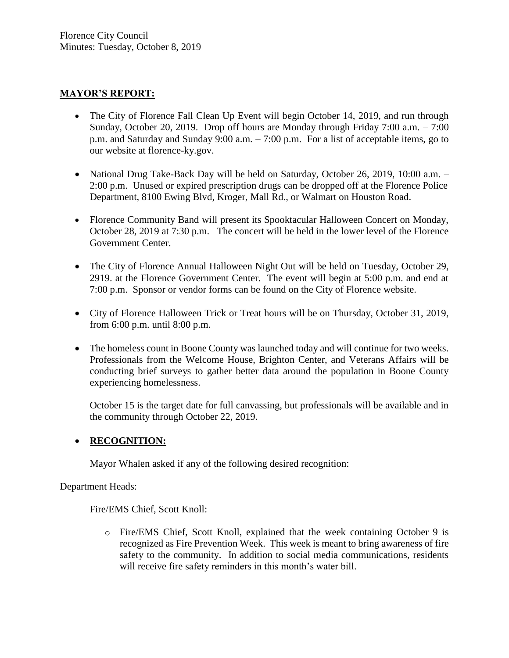## **MAYOR'S REPORT:**

- The City of Florence Fall Clean Up Event will begin October 14, 2019, and run through Sunday, October 20, 2019. Drop off hours are Monday through Friday 7:00 a.m. – 7:00 p.m. and Saturday and Sunday 9:00 a.m. – 7:00 p.m. For a list of acceptable items, go to our website at florence-ky.gov.
- National Drug Take-Back Day will be held on Saturday, October 26, 2019, 10:00 a.m. -2:00 p.m. Unused or expired prescription drugs can be dropped off at the Florence Police Department, 8100 Ewing Blvd, Kroger, Mall Rd., or Walmart on Houston Road.
- Florence Community Band will present its Spooktacular Halloween Concert on Monday, October 28, 2019 at 7:30 p.m. The concert will be held in the lower level of the Florence Government Center.
- The City of Florence Annual Halloween Night Out will be held on Tuesday, October 29, 2919. at the Florence Government Center. The event will begin at 5:00 p.m. and end at 7:00 p.m. Sponsor or vendor forms can be found on the City of Florence website.
- City of Florence Halloween Trick or Treat hours will be on Thursday, October 31, 2019, from 6:00 p.m. until 8:00 p.m.
- The homeless count in Boone County was launched today and will continue for two weeks. Professionals from the Welcome House, Brighton Center, and Veterans Affairs will be conducting brief surveys to gather better data around the population in Boone County experiencing homelessness.

October 15 is the target date for full canvassing, but professionals will be available and in the community through October 22, 2019.

## **RECOGNITION:**

Mayor Whalen asked if any of the following desired recognition:

Department Heads:

Fire/EMS Chief, Scott Knoll:

o Fire/EMS Chief, Scott Knoll, explained that the week containing October 9 is recognized as Fire Prevention Week. This week is meant to bring awareness of fire safety to the community. In addition to social media communications, residents will receive fire safety reminders in this month's water bill.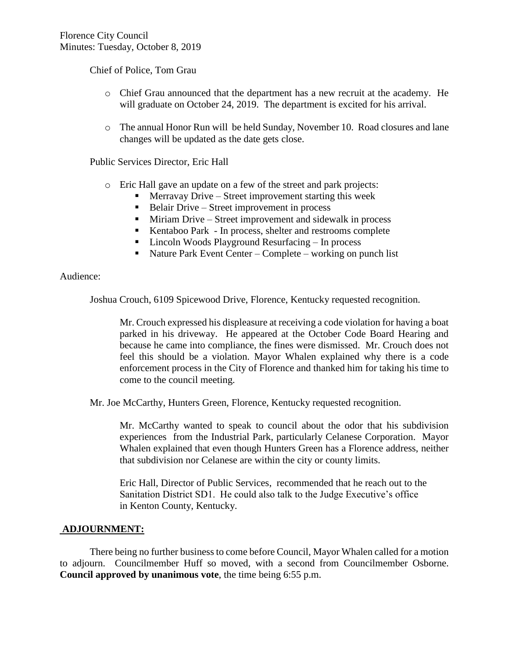Chief of Police, Tom Grau

- o Chief Grau announced that the department has a new recruit at the academy. He will graduate on October 24, 2019. The department is excited for his arrival.
- o The annual Honor Run will be held Sunday, November 10. Road closures and lane changes will be updated as the date gets close.

Public Services Director, Eric Hall

- o Eric Hall gave an update on a few of the street and park projects:
	- **Merravay Drive Street improvement starting this week**
	- Belair Drive Street improvement in process
	- Miriam Drive Street improvement and sidewalk in process
	- Kentaboo Park In process, shelter and restrooms complete
	- Lincoln Woods Playground Resurfacing In process
	- Nature Park Event Center Complete working on punch list

#### Audience:

Joshua Crouch, 6109 Spicewood Drive, Florence, Kentucky requested recognition.

Mr. Crouch expressed his displeasure at receiving a code violation for having a boat parked in his driveway. He appeared at the October Code Board Hearing and because he came into compliance, the fines were dismissed. Mr. Crouch does not feel this should be a violation. Mayor Whalen explained why there is a code enforcement process in the City of Florence and thanked him for taking his time to come to the council meeting.

Mr. Joe McCarthy, Hunters Green, Florence, Kentucky requested recognition.

Mr. McCarthy wanted to speak to council about the odor that his subdivision experiences from the Industrial Park, particularly Celanese Corporation. Mayor Whalen explained that even though Hunters Green has a Florence address, neither that subdivision nor Celanese are within the city or county limits.

Eric Hall, Director of Public Services, recommended that he reach out to the Sanitation District SD1. He could also talk to the Judge Executive's office in Kenton County, Kentucky.

## **ADJOURNMENT:**

There being no further business to come before Council, Mayor Whalen called for a motion to adjourn. Councilmember Huff so moved, with a second from Councilmember Osborne. **Council approved by unanimous vote**, the time being 6:55 p.m.